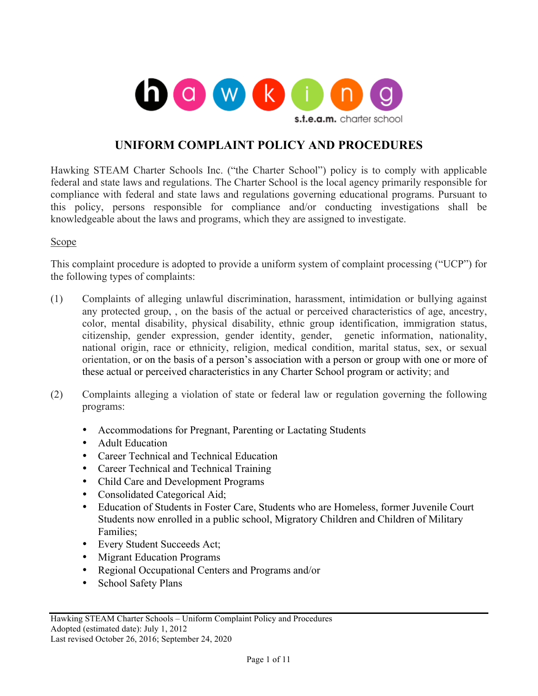

# **UNIFORM COMPLAINT POLICY AND PROCEDURES**

Hawking STEAM Charter Schools Inc. ("the Charter School") policy is to comply with applicable federal and state laws and regulations. The Charter School is the local agency primarily responsible for compliance with federal and state laws and regulations governing educational programs. Pursuant to this policy, persons responsible for compliance and/or conducting investigations shall be knowledgeable about the laws and programs, which they are assigned to investigate.

#### Scope

This complaint procedure is adopted to provide a uniform system of complaint processing ("UCP") for the following types of complaints:

- (1) Complaints of alleging unlawful discrimination, harassment, intimidation or bullying against any protected group, , on the basis of the actual or perceived characteristics of age, ancestry, color, mental disability, physical disability, ethnic group identification, immigration status, citizenship, gender expression, gender identity, gender, genetic information, nationality, national origin, race or ethnicity, religion, medical condition, marital status, sex, or sexual orientation, or on the basis of a person's association with a person or group with one or more of these actual or perceived characteristics in any Charter School program or activity; and
- (2) Complaints alleging a violation of state or federal law or regulation governing the following programs:
	- Accommodations for Pregnant, Parenting or Lactating Students
	- Adult Education
	- Career Technical and Technical Education
	- Career Technical and Technical Training
	- Child Care and Development Programs
	- Consolidated Categorical Aid;
	- Education of Students in Foster Care, Students who are Homeless, former Juvenile Court Students now enrolled in a public school, Migratory Children and Children of Military Families;
	- Every Student Succeeds Act;
	- Migrant Education Programs
	- Regional Occupational Centers and Programs and/or
	- School Safety Plans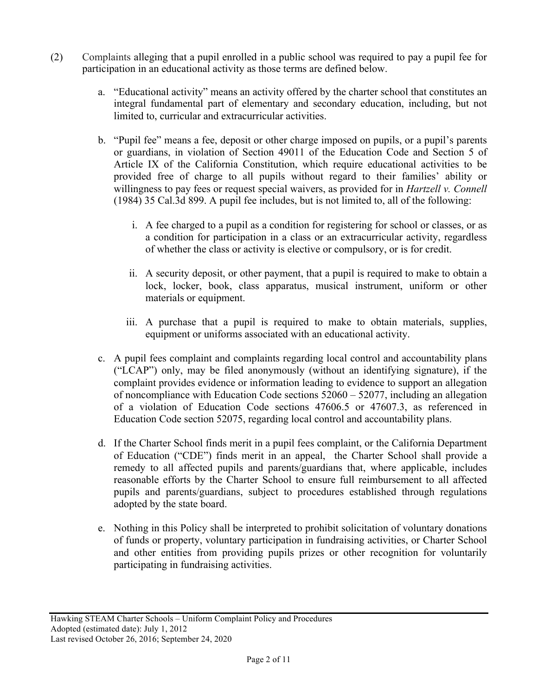- (2) Complaints alleging that a pupil enrolled in a public school was required to pay a pupil fee for participation in an educational activity as those terms are defined below.
	- a. "Educational activity" means an activity offered by the charter school that constitutes an integral fundamental part of elementary and secondary education, including, but not limited to, curricular and extracurricular activities.
	- b. "Pupil fee" means a fee, deposit or other charge imposed on pupils, or a pupil's parents or guardians, in violation of Section 49011 of the Education Code and Section 5 of Article IX of the California Constitution, which require educational activities to be provided free of charge to all pupils without regard to their families' ability or willingness to pay fees or request special waivers, as provided for in *Hartzell v. Connell*  (1984) 35 Cal.3d 899. A pupil fee includes, but is not limited to, all of the following:
		- i. A fee charged to a pupil as a condition for registering for school or classes, or as a condition for participation in a class or an extracurricular activity, regardless of whether the class or activity is elective or compulsory, or is for credit.
		- ii. A security deposit, or other payment, that a pupil is required to make to obtain a lock, locker, book, class apparatus, musical instrument, uniform or other materials or equipment.
		- iii. A purchase that a pupil is required to make to obtain materials, supplies, equipment or uniforms associated with an educational activity.
	- c. A pupil fees complaint and complaints regarding local control and accountability plans ("LCAP") only, may be filed anonymously (without an identifying signature), if the complaint provides evidence or information leading to evidence to support an allegation of noncompliance with Education Code sections 52060 – 52077, including an allegation of a violation of Education Code sections 47606.5 or 47607.3, as referenced in Education Code section 52075, regarding local control and accountability plans.
	- d. If the Charter School finds merit in a pupil fees complaint, or the California Department of Education ("CDE") finds merit in an appeal, the Charter School shall provide a remedy to all affected pupils and parents/guardians that, where applicable, includes reasonable efforts by the Charter School to ensure full reimbursement to all affected pupils and parents/guardians, subject to procedures established through regulations adopted by the state board.
	- e. Nothing in this Policy shall be interpreted to prohibit solicitation of voluntary donations of funds or property, voluntary participation in fundraising activities, or Charter School and other entities from providing pupils prizes or other recognition for voluntarily participating in fundraising activities.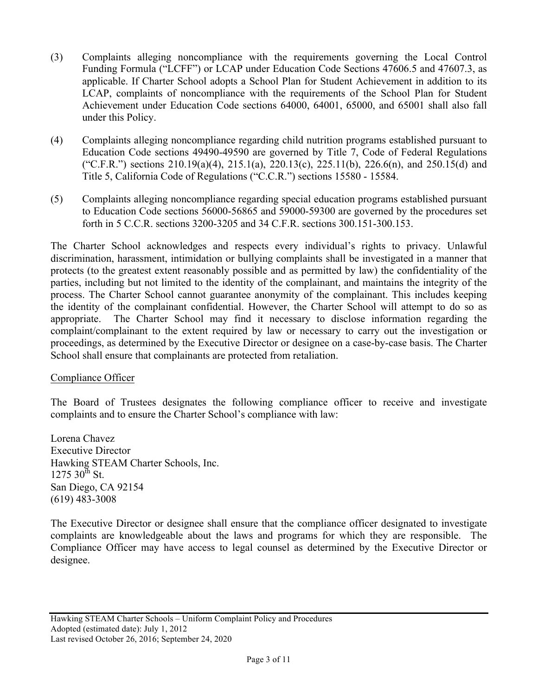- (3) Complaints alleging noncompliance with the requirements governing the Local Control Funding Formula ("LCFF") or LCAP under Education Code Sections 47606.5 and 47607.3, as applicable. If Charter School adopts a School Plan for Student Achievement in addition to its LCAP, complaints of noncompliance with the requirements of the School Plan for Student Achievement under Education Code sections 64000, 64001, 65000, and 65001 shall also fall under this Policy.
- (4) Complaints alleging noncompliance regarding child nutrition programs established pursuant to Education Code sections 49490-49590 are governed by Title 7, Code of Federal Regulations ("C.F.R.") sections 210.19(a)(4), 215.1(a), 220.13(c), 225.11(b), 226.6(n), and 250.15(d) and Title 5, California Code of Regulations ("C.C.R.") sections 15580 - 15584.
- (5) Complaints alleging noncompliance regarding special education programs established pursuant to Education Code sections 56000-56865 and 59000-59300 are governed by the procedures set forth in 5 C.C.R. sections 3200-3205 and 34 C.F.R. sections 300.151-300.153.

The Charter School acknowledges and respects every individual's rights to privacy. Unlawful discrimination, harassment, intimidation or bullying complaints shall be investigated in a manner that protects (to the greatest extent reasonably possible and as permitted by law) the confidentiality of the parties, including but not limited to the identity of the complainant, and maintains the integrity of the process. The Charter School cannot guarantee anonymity of the complainant. This includes keeping the identity of the complainant confidential. However, the Charter School will attempt to do so as appropriate. The Charter School may find it necessary to disclose information regarding the complaint/complainant to the extent required by law or necessary to carry out the investigation or proceedings, as determined by the Executive Director or designee on a case-by-case basis. The Charter School shall ensure that complainants are protected from retaliation.

#### Compliance Officer

The Board of Trustees designates the following compliance officer to receive and investigate complaints and to ensure the Charter School's compliance with law:

Lorena Chavez Executive Director Hawking STEAM Charter Schools, Inc.  $1275$  30<sup>th</sup> St. San Diego, CA 92154 (619) 483-3008

The Executive Director or designee shall ensure that the compliance officer designated to investigate complaints are knowledgeable about the laws and programs for which they are responsible. The Compliance Officer may have access to legal counsel as determined by the Executive Director or designee.

Hawking STEAM Charter Schools – Uniform Complaint Policy and Procedures Adopted (estimated date): July 1, 2012 Last revised October 26, 2016; September 24, 2020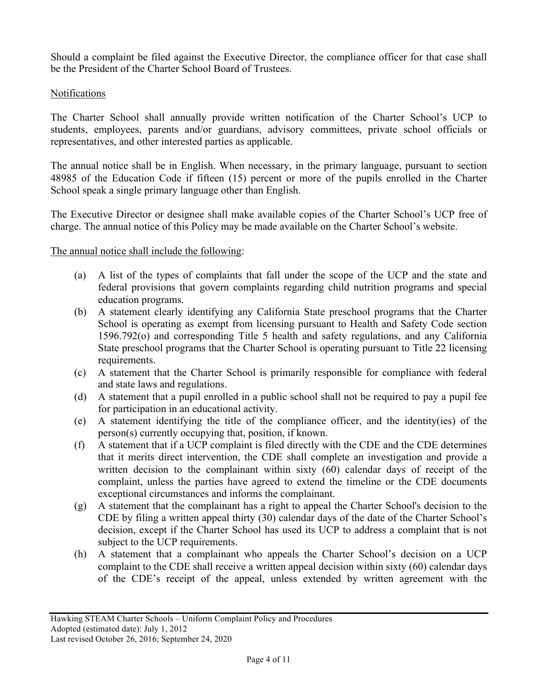Should a complaint be filed against the Executive Director, the compliance officer for that case shall be the President of the Charter School Board of Trustees.

## Notifications

The Charter School shall annually provide written notification of the Charter School's UCP to students, employees, parents and/or guardians, advisory committees, private school officials or representatives, and other interested parties as applicable.

The annual notice shall be in English. When necessary, in the primary language, pursuant to section 48985 of the Education Code if fifteen (15) percent or more of the pupils enrolled in the Charter School speak a single primary language other than English.

The Executive Director or designee shall make available copies of the Charter School's UCP free of charge. The annual notice of this Policy may be made available on the Charter School's website.

## The annual notice shall include the following:

- (a) A list of the types of complaints that fall under the scope of the UCP and the state and federal provisions that govern complaints regarding child nutrition programs and special education programs.
- (b) A statement clearly identifying any California State preschool programs that the Charter School is operating as exempt from licensing pursuant to Health and Safety Code section 1596.792(o) and corresponding Title 5 health and safety regulations, and any California State preschool programs that the Charter School is operating pursuant to Title 22 licensing requirements.
- (c) A statement that the Charter School is primarily responsible for compliance with federal and state laws and regulations.
- (d) A statement that a pupil enrolled in a public school shall not be required to pay a pupil fee for participation in an educational activity.
- (e) A statement identifying the title of the compliance officer, and the identity(ies) of the person(s) currently occupying that, position, if known.
- (f) A statement that if a UCP complaint is filed directly with the CDE and the CDE determines that it merits direct intervention, the CDE shall complete an investigation and provide a written decision to the complainant within sixty (60) calendar days of receipt of the complaint, unless the parties have agreed to extend the timeline or the CDE documents exceptional circumstances and informs the complainant.
- (g) A statement that the complainant has a right to appeal the Charter School's decision to the CDE by filing a written appeal thirty (30) calendar days of the date of the Charter School's decision, except if the Charter School has used its UCP to address a complaint that is not subject to the UCP requirements.
- (h) A statement that a complainant who appeals the Charter School's decision on a UCP complaint to the CDE shall receive a written appeal decision within sixty (60) calendar days of the CDE's receipt of the appeal, unless extended by written agreement with the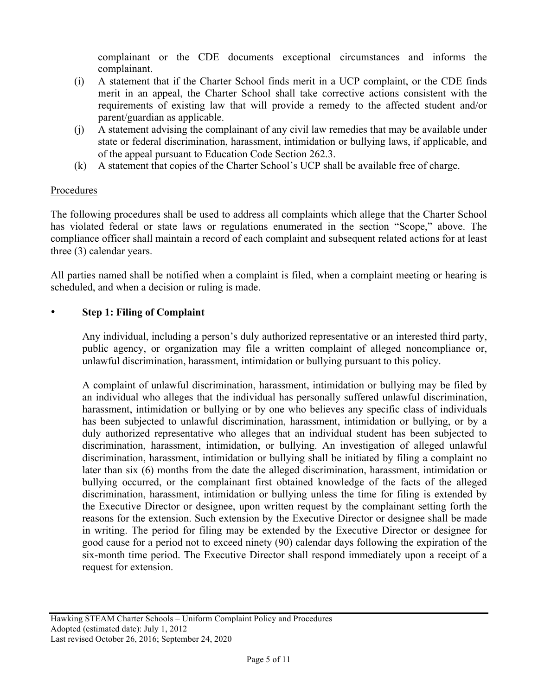complainant or the CDE documents exceptional circumstances and informs the complainant.

- (i) A statement that if the Charter School finds merit in a UCP complaint, or the CDE finds merit in an appeal, the Charter School shall take corrective actions consistent with the requirements of existing law that will provide a remedy to the affected student and/or parent/guardian as applicable.
- (j) A statement advising the complainant of any civil law remedies that may be available under state or federal discrimination, harassment, intimidation or bullying laws, if applicable, and of the appeal pursuant to Education Code Section 262.3.
- (k) A statement that copies of the Charter School's UCP shall be available free of charge.

## **Procedures**

The following procedures shall be used to address all complaints which allege that the Charter School has violated federal or state laws or regulations enumerated in the section "Scope," above. The compliance officer shall maintain a record of each complaint and subsequent related actions for at least three (3) calendar years.

All parties named shall be notified when a complaint is filed, when a complaint meeting or hearing is scheduled, and when a decision or ruling is made.

## • **Step 1: Filing of Complaint**

Any individual, including a person's duly authorized representative or an interested third party, public agency, or organization may file a written complaint of alleged noncompliance or, unlawful discrimination, harassment, intimidation or bullying pursuant to this policy.

A complaint of unlawful discrimination, harassment, intimidation or bullying may be filed by an individual who alleges that the individual has personally suffered unlawful discrimination, harassment, intimidation or bullying or by one who believes any specific class of individuals has been subjected to unlawful discrimination, harassment, intimidation or bullying, or by a duly authorized representative who alleges that an individual student has been subjected to discrimination, harassment, intimidation, or bullying. An investigation of alleged unlawful discrimination, harassment, intimidation or bullying shall be initiated by filing a complaint no later than six (6) months from the date the alleged discrimination, harassment, intimidation or bullying occurred, or the complainant first obtained knowledge of the facts of the alleged discrimination, harassment, intimidation or bullying unless the time for filing is extended by the Executive Director or designee, upon written request by the complainant setting forth the reasons for the extension. Such extension by the Executive Director or designee shall be made in writing. The period for filing may be extended by the Executive Director or designee for good cause for a period not to exceed ninety (90) calendar days following the expiration of the six-month time period. The Executive Director shall respond immediately upon a receipt of a request for extension.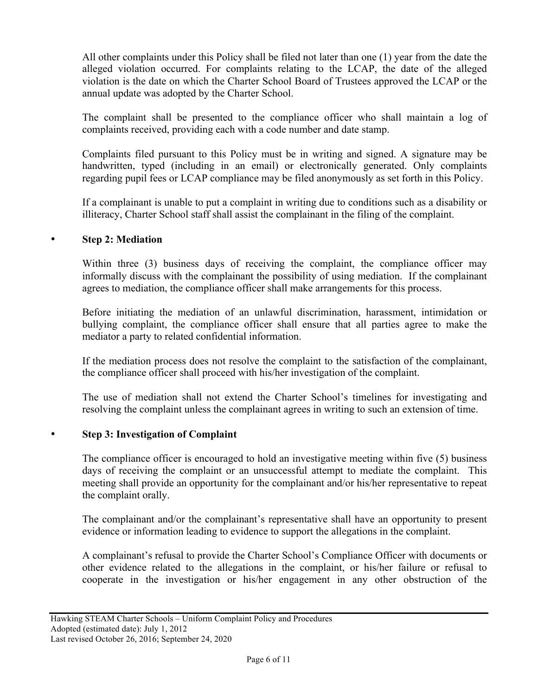All other complaints under this Policy shall be filed not later than one (1) year from the date the alleged violation occurred. For complaints relating to the LCAP, the date of the alleged violation is the date on which the Charter School Board of Trustees approved the LCAP or the annual update was adopted by the Charter School.

The complaint shall be presented to the compliance officer who shall maintain a log of complaints received, providing each with a code number and date stamp.

Complaints filed pursuant to this Policy must be in writing and signed. A signature may be handwritten, typed (including in an email) or electronically generated. Only complaints regarding pupil fees or LCAP compliance may be filed anonymously as set forth in this Policy.

If a complainant is unable to put a complaint in writing due to conditions such as a disability or illiteracy, Charter School staff shall assist the complainant in the filing of the complaint.

## • **Step 2: Mediation**

Within three (3) business days of receiving the complaint, the compliance officer may informally discuss with the complainant the possibility of using mediation. If the complainant agrees to mediation, the compliance officer shall make arrangements for this process.

Before initiating the mediation of an unlawful discrimination, harassment, intimidation or bullying complaint, the compliance officer shall ensure that all parties agree to make the mediator a party to related confidential information.

If the mediation process does not resolve the complaint to the satisfaction of the complainant, the compliance officer shall proceed with his/her investigation of the complaint.

The use of mediation shall not extend the Charter School's timelines for investigating and resolving the complaint unless the complainant agrees in writing to such an extension of time.

## • **Step 3: Investigation of Complaint**

The compliance officer is encouraged to hold an investigative meeting within five (5) business days of receiving the complaint or an unsuccessful attempt to mediate the complaint. This meeting shall provide an opportunity for the complainant and/or his/her representative to repeat the complaint orally.

The complainant and/or the complainant's representative shall have an opportunity to present evidence or information leading to evidence to support the allegations in the complaint.

A complainant's refusal to provide the Charter School's Compliance Officer with documents or other evidence related to the allegations in the complaint, or his/her failure or refusal to cooperate in the investigation or his/her engagement in any other obstruction of the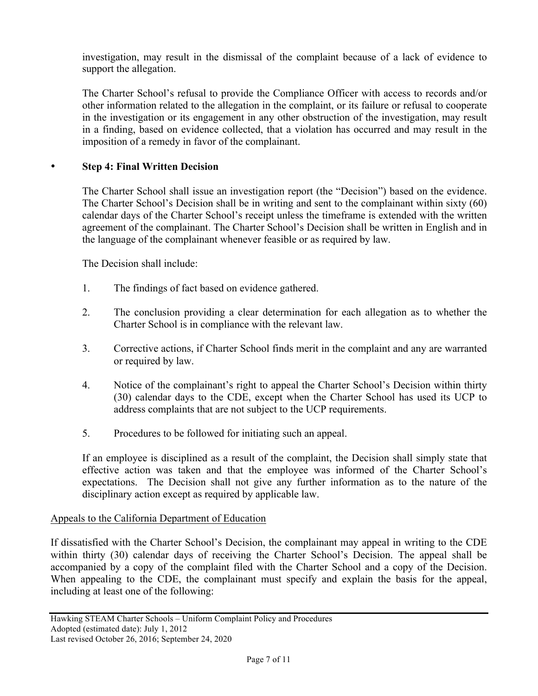investigation, may result in the dismissal of the complaint because of a lack of evidence to support the allegation.

The Charter School's refusal to provide the Compliance Officer with access to records and/or other information related to the allegation in the complaint, or its failure or refusal to cooperate in the investigation or its engagement in any other obstruction of the investigation, may result in a finding, based on evidence collected, that a violation has occurred and may result in the imposition of a remedy in favor of the complainant.

## • **Step 4: Final Written Decision**

The Charter School shall issue an investigation report (the "Decision") based on the evidence. The Charter School's Decision shall be in writing and sent to the complainant within sixty (60) calendar days of the Charter School's receipt unless the timeframe is extended with the written agreement of the complainant. The Charter School's Decision shall be written in English and in the language of the complainant whenever feasible or as required by law.

The Decision shall include:

- 1. The findings of fact based on evidence gathered.
- 2. The conclusion providing a clear determination for each allegation as to whether the Charter School is in compliance with the relevant law.
- 3. Corrective actions, if Charter School finds merit in the complaint and any are warranted or required by law.
- 4. Notice of the complainant's right to appeal the Charter School's Decision within thirty (30) calendar days to the CDE, except when the Charter School has used its UCP to address complaints that are not subject to the UCP requirements.
- 5. Procedures to be followed for initiating such an appeal.

If an employee is disciplined as a result of the complaint, the Decision shall simply state that effective action was taken and that the employee was informed of the Charter School's expectations. The Decision shall not give any further information as to the nature of the disciplinary action except as required by applicable law.

#### Appeals to the California Department of Education

If dissatisfied with the Charter School's Decision, the complainant may appeal in writing to the CDE within thirty (30) calendar days of receiving the Charter School's Decision. The appeal shall be accompanied by a copy of the complaint filed with the Charter School and a copy of the Decision. When appealing to the CDE, the complainant must specify and explain the basis for the appeal, including at least one of the following: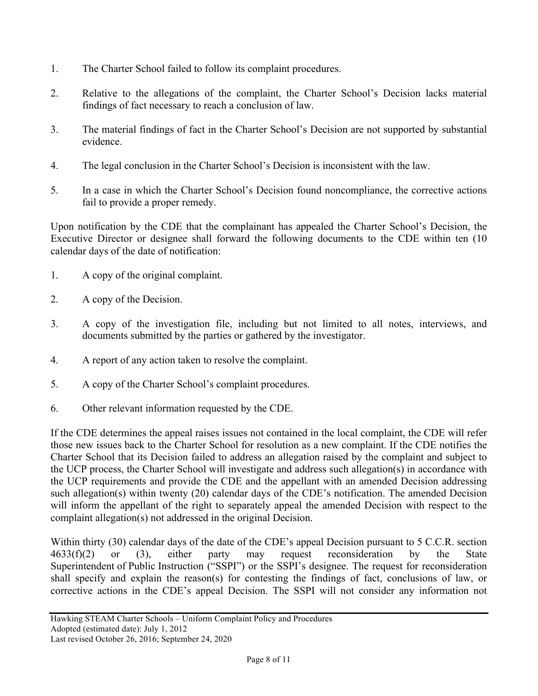- 1. The Charter School failed to follow its complaint procedures.
- 2. Relative to the allegations of the complaint, the Charter School's Decision lacks material findings of fact necessary to reach a conclusion of law.
- 3. The material findings of fact in the Charter School's Decision are not supported by substantial evidence.
- 4. The legal conclusion in the Charter School's Decision is inconsistent with the law.
- 5. In a case in which the Charter School's Decision found noncompliance, the corrective actions fail to provide a proper remedy.

Upon notification by the CDE that the complainant has appealed the Charter School's Decision, the Executive Director or designee shall forward the following documents to the CDE within ten (10 calendar days of the date of notification:

- 1. A copy of the original complaint.
- 2. A copy of the Decision.
- 3. A copy of the investigation file, including but not limited to all notes, interviews, and documents submitted by the parties or gathered by the investigator.
- 4. A report of any action taken to resolve the complaint.
- 5. A copy of the Charter School's complaint procedures.
- 6. Other relevant information requested by the CDE.

If the CDE determines the appeal raises issues not contained in the local complaint, the CDE will refer those new issues back to the Charter School for resolution as a new complaint. If the CDE notifies the Charter School that its Decision failed to address an allegation raised by the complaint and subject to the UCP process, the Charter School will investigate and address such allegation(s) in accordance with the UCP requirements and provide the CDE and the appellant with an amended Decision addressing such allegation(s) within twenty (20) calendar days of the CDE's notification. The amended Decision will inform the appellant of the right to separately appeal the amended Decision with respect to the complaint allegation(s) not addressed in the original Decision.

Within thirty (30) calendar days of the date of the CDE's appeal Decision pursuant to 5 C.C.R. section 4633(f)(2) or (3), either party may request reconsideration by the State Superintendent of Public Instruction ("SSPI") or the SSPI's designee. The request for reconsideration shall specify and explain the reason(s) for contesting the findings of fact, conclusions of law, or corrective actions in the CDE's appeal Decision. The SSPI will not consider any information not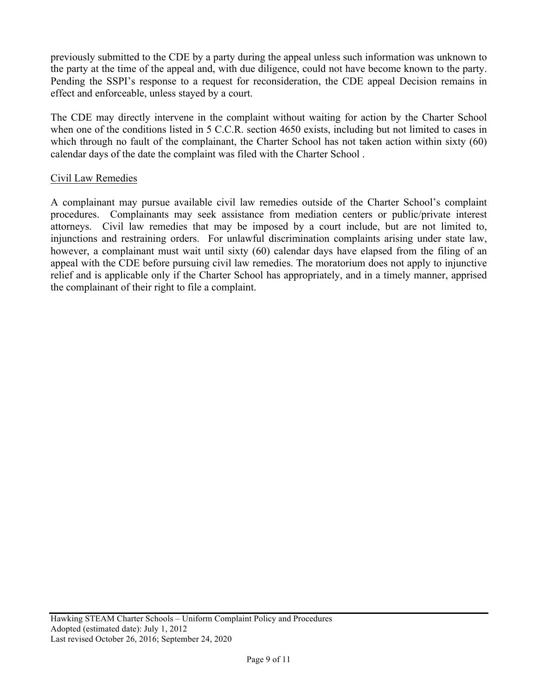previously submitted to the CDE by a party during the appeal unless such information was unknown to the party at the time of the appeal and, with due diligence, could not have become known to the party. Pending the SSPI's response to a request for reconsideration, the CDE appeal Decision remains in effect and enforceable, unless stayed by a court.

The CDE may directly intervene in the complaint without waiting for action by the Charter School when one of the conditions listed in 5 C.C.R. section 4650 exists, including but not limited to cases in which through no fault of the complainant, the Charter School has not taken action within sixty (60) calendar days of the date the complaint was filed with the Charter School .

#### Civil Law Remedies

A complainant may pursue available civil law remedies outside of the Charter School's complaint procedures. Complainants may seek assistance from mediation centers or public/private interest attorneys. Civil law remedies that may be imposed by a court include, but are not limited to, injunctions and restraining orders. For unlawful discrimination complaints arising under state law, however, a complainant must wait until sixty (60) calendar days have elapsed from the filing of an appeal with the CDE before pursuing civil law remedies. The moratorium does not apply to injunctive relief and is applicable only if the Charter School has appropriately, and in a timely manner, apprised the complainant of their right to file a complaint.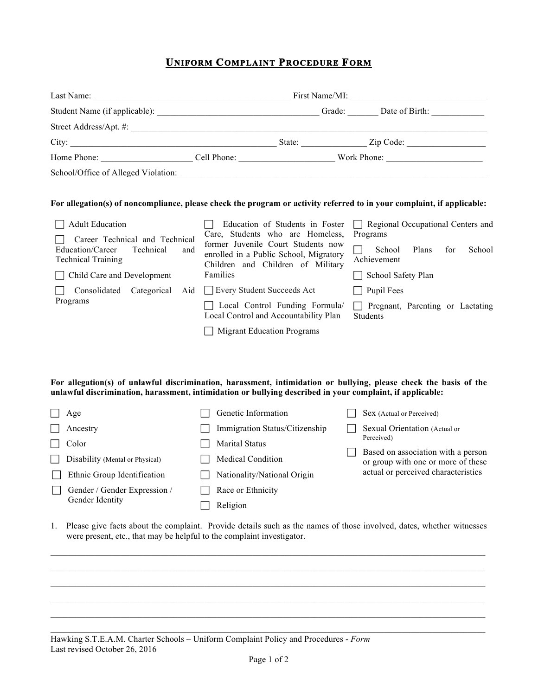# **UNIFORM COMPLAINT PROCEDURE FORM**

|                                     | First Name/MI: |             |                |           |
|-------------------------------------|----------------|-------------|----------------|-----------|
| Student Name (if applicable):       | Grade:         |             | Date of Birth: |           |
| Street Address/Apt. #:              |                |             |                |           |
| City:                               |                | State:      |                | Zip Code: |
| Home Phone:                         | Cell Phone:    | Work Phone: |                |           |
| School/Office of Alleged Violation: |                |             |                |           |

#### **For allegation(s) of noncompliance, please check the program or activity referred to in your complaint, if applicable:**

| Adult Education<br>Career Technical and Technical                 | Education of Students in Foster<br>Care, Students who are Homeless,                                               | $\Box$ Regional Occupational Centers and<br>Programs                |  |  |  |
|-------------------------------------------------------------------|-------------------------------------------------------------------------------------------------------------------|---------------------------------------------------------------------|--|--|--|
| Education/Career<br>Technical<br>and<br><b>Technical Training</b> | former Juvenile Court Students now<br>enrolled in a Public School, Migratory<br>Children and Children of Military | Plans<br>for<br>School<br>School<br>Achievement                     |  |  |  |
| Child Care and Development                                        | Families                                                                                                          | School Safety Plan                                                  |  |  |  |
| Categorical<br>Consolidated                                       | Aid   Every Student Succeeds Act                                                                                  | Pupil Fees<br>$\mathbf{I}$                                          |  |  |  |
| Programs                                                          | Local Control Funding Formula/<br>$\sim$<br>Local Control and Accountability Plan                                 | Pregnant, Parenting or Lactating<br>$\mathbf{I}$<br><b>Students</b> |  |  |  |
|                                                                   | Migrant Education Programs                                                                                        |                                                                     |  |  |  |

#### **For allegation(s) of unlawful discrimination, harassment, intimidation or bullying, please check the basis of the unlawful discrimination, harassment, intimidation or bullying described in your complaint, if applicable:**

| Age                             |                | Genetic Information            |  | Sex (Actual or Perceived)                                                |  |  |
|---------------------------------|----------------|--------------------------------|--|--------------------------------------------------------------------------|--|--|
| Ancestry                        |                | Immigration Status/Citizenship |  | Sexual Orientation (Actual or<br>Perceived)                              |  |  |
| Color                           | Marital Status |                                |  |                                                                          |  |  |
| Disability (Mental or Physical) |                | <b>Medical Condition</b>       |  | Based on association with a person<br>or group with one or more of these |  |  |
| Ethnic Group Identification     |                | Nationality/National Origin    |  | actual or perceived characteristics                                      |  |  |
| Gender / Gender Expression /    |                | Race or Ethnicity              |  |                                                                          |  |  |
| Gender Identity                 |                | Religion                       |  |                                                                          |  |  |

1. Please give facts about the complaint. Provide details such as the names of those involved, dates, whether witnesses were present, etc., that may be helpful to the complaint investigator.

 $\_$  , and the state of the state of the state of the state of the state of the state of the state of the state of the state of the state of the state of the state of the state of the state of the state of the state of the  $\mathcal{L}_\text{max}$ 

 $\_$  , and the state of the state of the state of the state of the state of the state of the state of the state of the state of the state of the state of the state of the state of the state of the state of the state of the  $\mathcal{L}_\text{max}$